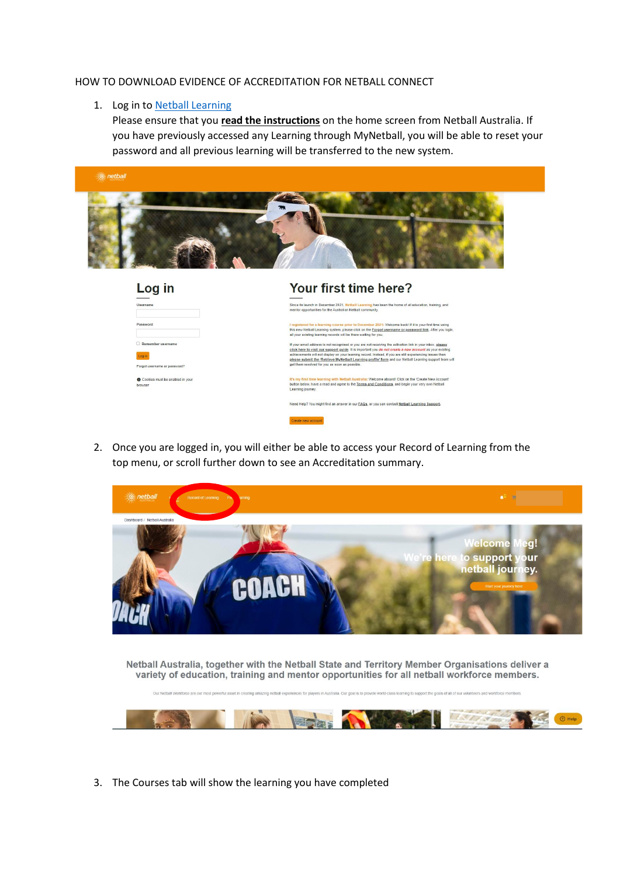## HOW TO DOWNLOAD EVIDENCE OF ACCREDITATION FOR NETBALL CONNECT

## 1. Log in to [Netball Learning](http://learning.netball.com.au/)

Please ensure that you **read the instructions** on the home screen from Netball Australia. If you have previously accessed any Learning through MyNetball, you will be able to reset your password and all previous learning will be transferred to the new system.



| Log in                                     | Your first time here?                                                                                                                                                                                                                                                                    |
|--------------------------------------------|------------------------------------------------------------------------------------------------------------------------------------------------------------------------------------------------------------------------------------------------------------------------------------------|
| Username                                   | Since its launch in December 2021, Netball Learning has been the home of all education, training, and<br>mentor opportunities for the Australian Netball community.                                                                                                                      |
| Password                                   | I registered for a learning course prior to December 2021; Welcome back! If it is your first time using<br>this new Netball Learning system, please click on the Forgot username or password link. After you login,<br>all your existing learning records will be there waiting for you. |
| Remember username                          | If your email address is not recognised or you are not receiving the activation link in your inbox, please<br>click here to visit our support guide. It is important you do not create a new account as your existing                                                                    |
| Log in                                     | achievements will not display on your learning record. Instead, if you are still experiencing issues then<br>please submit the 'Retrieve MyNetball Learning profile' form and our Netball Learning support team will                                                                     |
| Forgot username or password?               | get them resolved for you as soon as possible.                                                                                                                                                                                                                                           |
| Cookies must be enabled in your<br>browser | It's my first time learning with Netball Australia: Welcome aboard! Click on the 'Create New Account'<br>button below, have a read and agree to the Terms and Conditions, and begin your very own Netball<br>Learning journey.                                                           |
|                                            | Need Help? You might find an answer in our FAQs, or you can contact Netball Learning Support.                                                                                                                                                                                            |
|                                            | Create new account.                                                                                                                                                                                                                                                                      |

2. Once you are logged in, you will either be able to access your Record of Learning from the top menu, or scroll further down to see an Accreditation summary.



Netball Australia, together with the Netball State and Territory Member Organisations deliver a variety of education, training and mentor opportunities for all netball workforce members.



3. The Courses tab will show the learning you have completed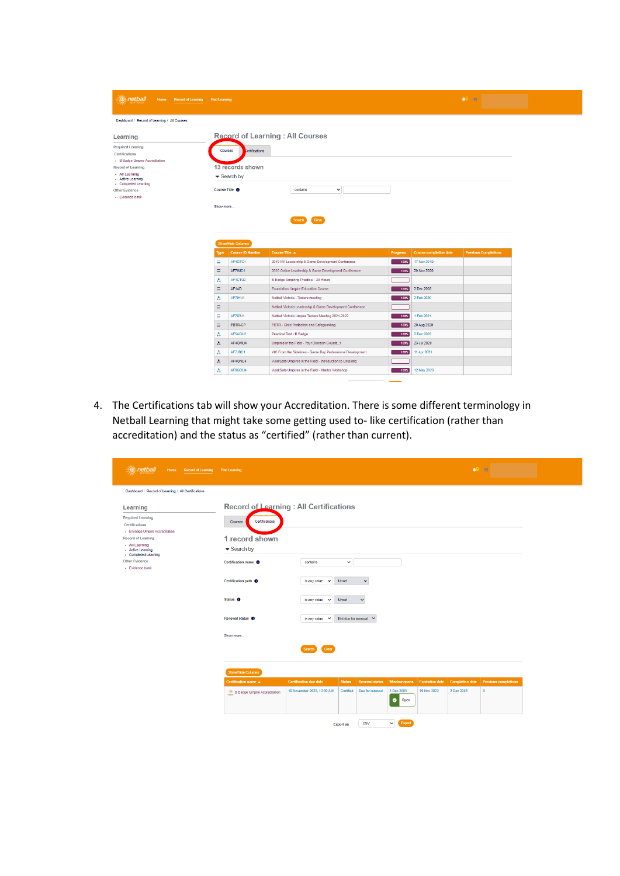| <b><i><u>A</u></i></b> netball<br>Home Record of Learning Find Learning |                        |                                         |                                                            |                 |                               | <b>Contract Contract</b><br>A <sup>1</sup> 10 |  |
|-------------------------------------------------------------------------|------------------------|-----------------------------------------|------------------------------------------------------------|-----------------|-------------------------------|-----------------------------------------------|--|
|                                                                         |                        |                                         |                                                            |                 |                               |                                               |  |
| Dashboard / Record of Learning / All Courses                            |                        |                                         |                                                            |                 |                               |                                               |  |
| Learning                                                                |                        |                                         | <b>Record of Learning: All Courses</b>                     |                 |                               |                                               |  |
| <b>Required Learning</b>                                                |                        |                                         |                                                            |                 |                               |                                               |  |
| Certifications                                                          |                        | <b>Courses</b><br><b>Certifications</b> |                                                            |                 |                               |                                               |  |
| - B Badge Umpire Accreditation                                          |                        |                                         |                                                            |                 |                               |                                               |  |
| <b>Record of Learning</b>                                               |                        | 13 records shown                        |                                                            |                 |                               |                                               |  |
| - All Learning<br>- Active Learning<br>- Completed Learning             |                        | $\blacktriangleright$ Search by         |                                                            |                 |                               |                                               |  |
| <b>Other Evidence</b>                                                   |                        | Course Title <sup>O</sup>               | $\check{~}$<br>contains                                    |                 |                               |                                               |  |
| - Evidence bank                                                         |                        |                                         |                                                            |                 |                               |                                               |  |
|                                                                         | Show more              |                                         |                                                            |                 |                               |                                               |  |
|                                                                         |                        |                                         |                                                            |                 |                               |                                               |  |
|                                                                         | Clear<br><b>Search</b> |                                         |                                                            |                 |                               |                                               |  |
|                                                                         |                        |                                         |                                                            |                 |                               |                                               |  |
|                                                                         |                        |                                         |                                                            |                 |                               |                                               |  |
|                                                                         |                        |                                         |                                                            |                 |                               |                                               |  |
|                                                                         |                        | <b>ShowHide Columns</b>                 |                                                            |                 |                               |                                               |  |
|                                                                         | <b>Type</b>            | Course ID Number                        | Course Title A                                             | <b>Progress</b> | <b>Course completion date</b> | <b>Previous Completions</b>                   |  |
|                                                                         | $\Box$                 | AF4GTC1                                 | 2019 NV Leadership & Game Development Conference           | 100%            | 17 Nov 2019                   |                                               |  |
|                                                                         | $\Box$                 | AF7IMC1                                 | 2020 Online Leadership & Game Development Conference       | 100%            | 20 Nov 2020                   |                                               |  |
|                                                                         | A                      | AF1CTU2                                 | <b>B Badge Umpiring Practical - 20 Hours</b>               |                 |                               |                                               |  |
|                                                                         | $\square$              | AF1AD                                   | Foundation Umpire Education Course                         | 100%            | 2 Dec 2003                    |                                               |  |
|                                                                         | A                      | AF7IHU1                                 | Netball Victoria - Testers meeting                         | 100%            | 2 Feb 2020                    |                                               |  |
|                                                                         | $\Box$                 |                                         | Netball Victoria Leadership & Game Development Conference  |                 |                               |                                               |  |
|                                                                         | $\Box$                 | AF7IPU1                                 | Netball Victoria Umpire Testers Meeting 2021-2022          | 100%            | 1 Feb 2021                    |                                               |  |
|                                                                         | $\Box$                 | PBTR-CP                                 | PBTR - Child Protection and Safeguarding                   | 100%            | 20 Aug 2020                   |                                               |  |
|                                                                         | Ã                      | AF5AQU2                                 | Practical Test - B Badge                                   | 100%            | 2 Dec 2003                    |                                               |  |
|                                                                         | A                      | AF4GMU4                                 | Umpires in the Field - Your Decision Counts_1              | 100%            | 23 Jul 2020                   |                                               |  |
|                                                                         | Ã                      | AF7JBC1                                 | VIC From the Sidelines - Game Day Professional Development | 100%            | 11 Apr 2021                   |                                               |  |
|                                                                         | A                      | AF4GNU4                                 | WorkSafe Umpires in the Field - Introduction to Umpiring   |                 |                               |                                               |  |

 $\overline{\phantom{0}}$ 

4. The Certifications tab will show your Accreditation. There is some different terminology in Netball Learning that might take some getting used to- like certification (rather than accreditation) and the status as "certified" (rather than current).

| netball<br>$\langle \hat{u} \rangle$<br>Home Record of Learning Find Learning            |                                                                      |                                                              |                       |                             |                                 | $\bullet^1$ =                  |                        |                             |  |
|------------------------------------------------------------------------------------------|----------------------------------------------------------------------|--------------------------------------------------------------|-----------------------|-----------------------------|---------------------------------|--------------------------------|------------------------|-----------------------------|--|
| Dashboard / Record of Learning / All Certifications                                      |                                                                      |                                                              |                       |                             |                                 |                                |                        |                             |  |
| Learning<br><b>Required Learning</b><br>Certifications<br>- B Badge Umpire Accreditation | Record of Learning : All Certifications<br>Certifications<br>Courses |                                                              |                       |                             |                                 |                                |                        |                             |  |
| <b>Record of Learning</b><br>- All Learning<br>- Active Learning<br>- Completed Learning | 1 record shown<br>$\blacktriangleright$ Search by                    |                                                              |                       |                             |                                 |                                |                        |                             |  |
| <b>Other Evidence</b><br>- Evidence bank                                                 | Certification name O                                                 | contains                                                     | $\checkmark$          |                             |                                 |                                |                        |                             |  |
|                                                                                          | Certification path <sup>O</sup><br>Status <sup>O</sup>               | is any value<br>$\checkmark$<br>is any value<br>$\checkmark$ | <b>Unset</b><br>Unset | $\checkmark$<br>$\check{~}$ |                                 |                                |                        |                             |  |
|                                                                                          | Renewal status <sup>6</sup>                                          | is any value $\vee$                                          |                       | Not due for renewal $\sim$  |                                 |                                |                        |                             |  |
|                                                                                          | Show more                                                            | Clear                                                        |                       |                             |                                 |                                |                        |                             |  |
|                                                                                          | <b>Show/Hide Columns</b>                                             | Search                                                       |                       |                             |                                 |                                |                        |                             |  |
|                                                                                          | Certification name A                                                 | <b>Certification due date</b>                                | <b>Status</b>         | <b>Renewal status</b>       |                                 | Window opens   Expiration date | <b>Completion date</b> | <b>Previous completions</b> |  |
|                                                                                          | B Badge Umpire Accreditation                                         | 19 November 2022, 12:00 AM                                   | Certified             | Due for renewal             | 3 Dec 2003<br>$\bullet$<br>Open | 19 Nov 2022                    | 2 Dec 2003             | $\bullet$                   |  |
|                                                                                          |                                                                      |                                                              | <b>Export as</b>      | <b>CSV</b>                  | Export<br>$\checkmark$          |                                |                        |                             |  |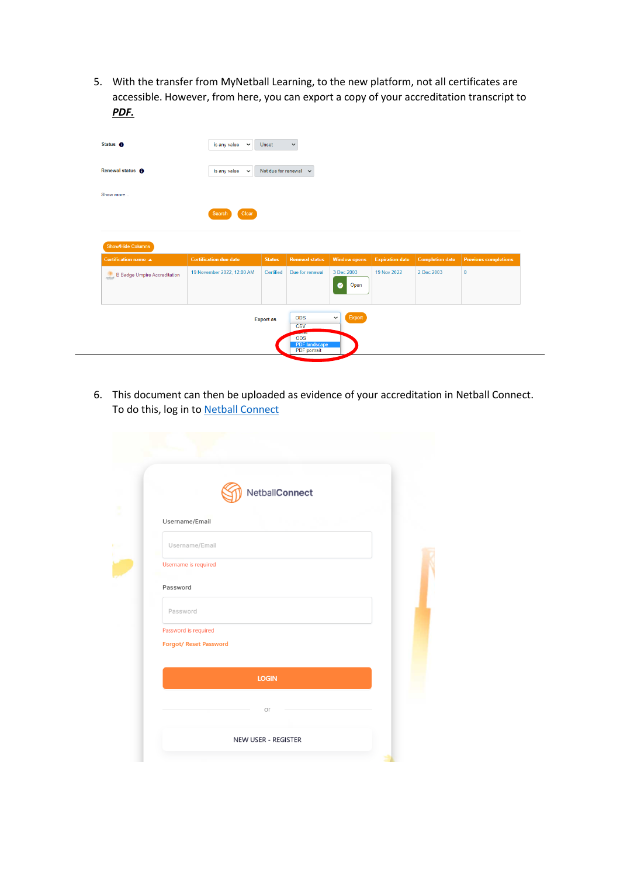5. With the transfer from MyNetball Learning, to the new platform, not all certificates are accessible. However, from here, you can export a copy of your accreditation transcript to *PDF.*

| Status <sup>O</sup>          | is any value<br>$\checkmark$  | Unset            | $\check{~}$                                                            |                                 |                        |                        |                             |
|------------------------------|-------------------------------|------------------|------------------------------------------------------------------------|---------------------------------|------------------------|------------------------|-----------------------------|
| Renewal status <sup>6</sup>  | is any value $\sim$           |                  | Not due for renewal $\sim$                                             |                                 |                        |                        |                             |
| Show more                    |                               |                  |                                                                        |                                 |                        |                        |                             |
|                              | Clear<br>Search               |                  |                                                                        |                                 |                        |                        |                             |
|                              |                               |                  |                                                                        |                                 |                        |                        |                             |
|                              |                               |                  |                                                                        |                                 |                        |                        |                             |
| Show/Hide Columns            | <b>Certification due date</b> | <b>Status</b>    | <b>Renewal status</b>                                                  | <b>Window opens</b>             | <b>Expiration date</b> | <b>Completion date</b> | <b>Previous completions</b> |
| B Badge Umpire Accreditation | 19 November 2022, 12:00 AM    | Certified        | Due for renewal                                                        | 3 Dec 2003<br>$\bullet$<br>Open | 19 Nov 2022            | 2 Dec 2003             | $\pmb{0}$                   |
| Certification name A         |                               | <b>Export as</b> | <b>ODS</b><br>$\overline{\text{csv}}$<br><b>ANTIFERE</b><br><b>ODS</b> | Export<br>$\check{~}$           |                        |                        |                             |

6. This document can then be uploaded as evidence of your accreditation in Netball Connect. To do this, log in to [Netball Connect](https://netballconnect.worldsportaction.com/login)

| NetballConnect                                 |  |
|------------------------------------------------|--|
| Username/Email                                 |  |
| Username/Email                                 |  |
| Username is required                           |  |
| Password                                       |  |
| Password                                       |  |
| Password is required<br>Forgot/ Reset Password |  |
| <b>LOGIN</b>                                   |  |
| Оľ                                             |  |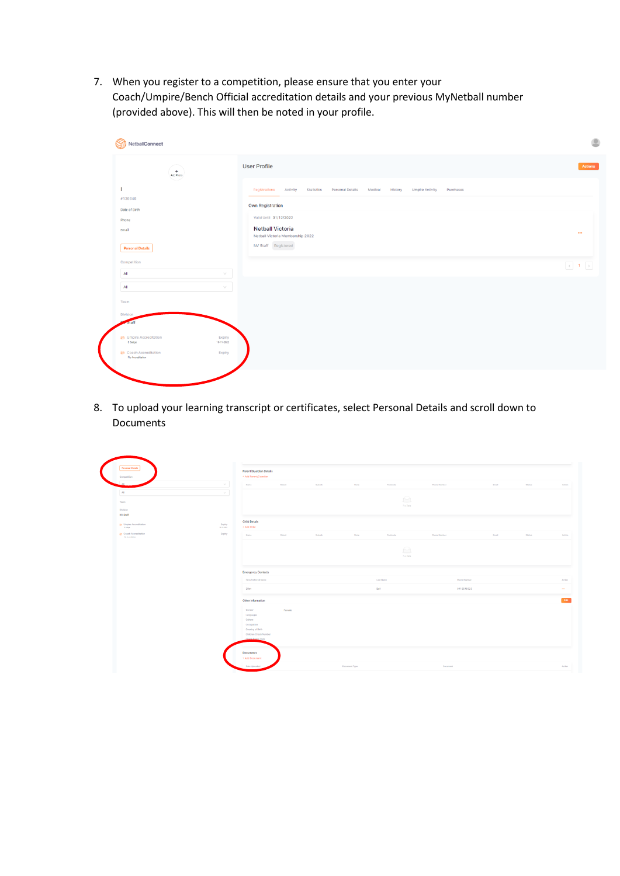7. When you register to a competition, please ensure that you enter your Coach/Umpire/Bench Official accreditation details and your previous MyNetball number (provided above). This will then be noted in your profile.

| $+$<br>Add Photo<br>المستبدين والمستعمل |                      | <b>User Profile</b>                                         |                             |                                   |           |  |
|-----------------------------------------|----------------------|-------------------------------------------------------------|-----------------------------|-----------------------------------|-----------|--|
|                                         |                      | Registrations Activity<br><b>Statistics</b>                 | Personal Details<br>Medical | History<br><b>Umpire Activity</b> | Purchases |  |
| #136646                                 |                      | <b>Own Registration</b>                                     |                             |                                   |           |  |
| Date of Birth                           |                      |                                                             |                             |                                   |           |  |
| Phone                                   |                      | Valid Until 31/12/2022                                      |                             |                                   |           |  |
| Email                                   |                      | <b>Netball Victoria</b><br>Netball Victoria Membership 2022 |                             |                                   |           |  |
| <b>Personal Details</b>                 |                      | NV Staff Registered                                         |                             |                                   |           |  |
| Competition                             |                      |                                                             |                             |                                   |           |  |
| All                                     | $\vee$               |                                                             |                             |                                   |           |  |
| All                                     | $\searrow$           |                                                             |                             |                                   |           |  |
| Team                                    |                      |                                                             |                             |                                   |           |  |
| Division                                |                      |                                                             |                             |                                   |           |  |
| staff                                   |                      |                                                             |                             |                                   |           |  |
| Umpire Accreditation<br><b>B</b> Badge  | Expiry<br>19-11-2022 |                                                             |                             |                                   |           |  |
| දිප Coach Accreditation                 | Expiry               |                                                             |                             |                                   |           |  |

8. To upload your learning transcript or certificates, select Personal Details and scroll down to Documents

| <b>Personal Details</b><br>Competition           |                                                             | Parent/Guardian Details<br>* Add Parent/Quardian |        |       |                                               |                     |       |        |  |
|--------------------------------------------------|-------------------------------------------------------------|--------------------------------------------------|--------|-------|-----------------------------------------------|---------------------|-------|--------|--|
| AB                                               | $\sim$<br>Name                                              | Street                                           | Suburb | State | Postcode                                      | Phone Number        | Email | Status |  |
| All                                              | $\mathcal{M}$                                               |                                                  |        |       |                                               |                     |       |        |  |
| Toam                                             |                                                             |                                                  |        |       | $\quad \  \  \, \textcircled{\scriptsize{1}}$ |                     |       |        |  |
| Division                                         |                                                             |                                                  |        |       | No Data                                       |                     |       |        |  |
| NV Staff                                         |                                                             |                                                  |        |       |                                               |                     |       |        |  |
| <b>25 Umpire Accreditation</b><br>8 Belga        | <b>Child Details</b><br>Expiry<br>+ Add Child<br>$15 - 202$ |                                                  |        |       |                                               |                     |       |        |  |
| <b>25 Coach Accreditation</b><br>No Accordiation | Expiry<br>Nome                                              | Street                                           | Suburb | State | Postcode                                      | <b>Phone Number</b> | Email | Status |  |
|                                                  |                                                             |                                                  |        |       |                                               |                     |       |        |  |
|                                                  |                                                             |                                                  |        |       | $\ominus$                                     |                     |       |        |  |
|                                                  |                                                             |                                                  |        |       | No Data                                       |                     |       |        |  |
|                                                  |                                                             |                                                  |        |       |                                               |                     |       |        |  |
|                                                  |                                                             | <b>Emergency Contacts</b>                        |        |       |                                               |                     |       |        |  |
|                                                  |                                                             | First/Preferred Name                             |        |       | Lest Name                                     | Phone Number        |       |        |  |
|                                                  | Elliot                                                      |                                                  |        |       | Bull                                          | 0418549525          |       |        |  |
|                                                  |                                                             |                                                  |        |       |                                               |                     |       |        |  |
|                                                  |                                                             | Other Information                                |        |       |                                               |                     |       |        |  |
|                                                  | Gender                                                      | Female                                           |        |       |                                               |                     |       |        |  |
|                                                  | Languages                                                   |                                                  |        |       |                                               |                     |       |        |  |
|                                                  | Culture                                                     |                                                  |        |       |                                               |                     |       |        |  |
|                                                  | Occupation                                                  |                                                  |        |       |                                               |                     |       |        |  |
|                                                  |                                                             | Country of Birth<br>Children Check Number        |        |       |                                               |                     |       |        |  |
|                                                  |                                                             | Check Evolry Date                                |        |       |                                               |                     |       |        |  |
|                                                  |                                                             |                                                  |        |       |                                               |                     |       |        |  |
|                                                  |                                                             |                                                  |        |       |                                               |                     |       |        |  |
|                                                  |                                                             |                                                  |        |       |                                               |                     |       |        |  |
|                                                  | <b>Documents</b>                                            | + Add Document                                   |        |       |                                               |                     |       |        |  |